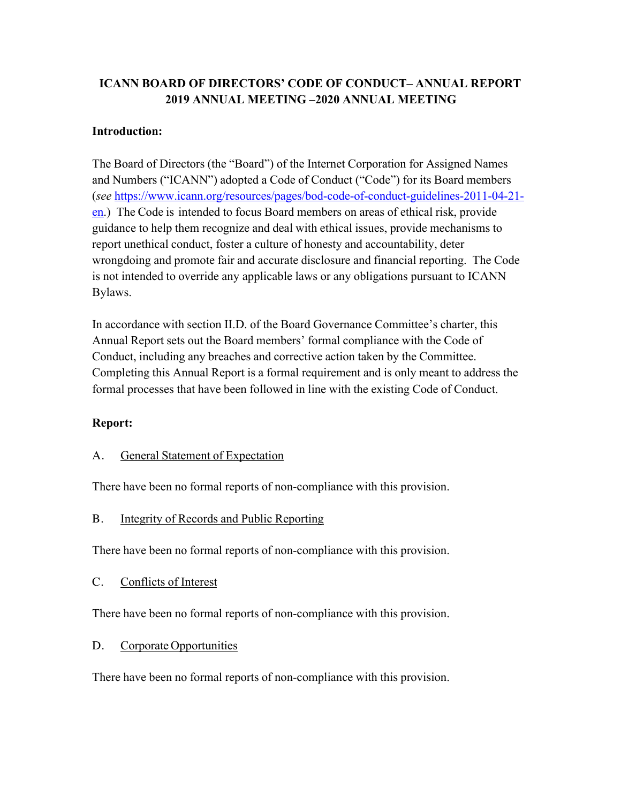# **ICANN BOARD OF DIRECTORS' CODE OF CONDUCT– ANNUAL REPORT 2019 ANNUAL MEETING –2020 ANNUAL MEETING**

## **Introduction:**

The Board of Directors (the "Board") of the Internet Corporation for Assigned Names and Numbers ("ICANN") adopted a Code of Conduct ("Code") for its Board members (*see* https://www.icann.org/resources/pages/bod-code-of-conduct-guidelines-2011-04-21 en.) The Code is intended to focus Board members on areas of ethical risk, provide guidance to help them recognize and deal with ethical issues, provide mechanisms to report unethical conduct, foster a culture of honesty and accountability, deter wrongdoing and promote fair and accurate disclosure and financial reporting. The Code is not intended to override any applicable laws or any obligations pursuant to ICANN Bylaws.

In accordance with section II.D. of the Board Governance Committee's charter, this Annual Report sets out the Board members' formal compliance with the Code of Conduct, including any breaches and corrective action taken by the Committee. Completing this Annual Report is a formal requirement and is only meant to address the formal processes that have been followed in line with the existing Code of Conduct.

### **Report:**

### A. General Statement of Expectation

There have been no formal reports of non-compliance with this provision.

#### B. Integrity of Records and Public Reporting

There have been no formal reports of non-compliance with this provision.

C. Conflicts of Interest

There have been no formal reports of non-compliance with this provision.

#### D. Corporate Opportunities

There have been no formal reports of non-compliance with this provision.